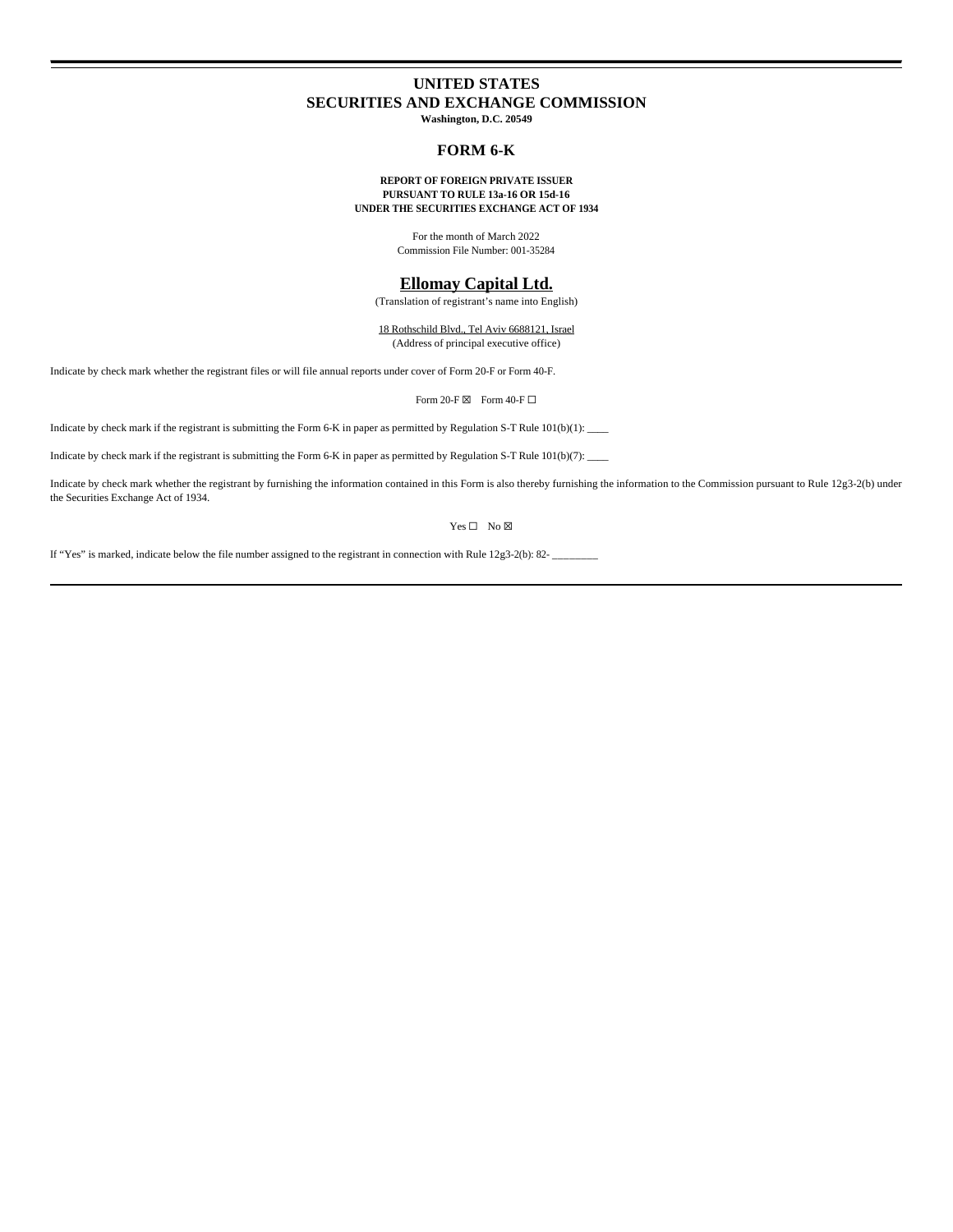# **UNITED STATES SECURITIES AND EXCHANGE COMMISSION Washington, D.C. 20549**

## **FORM 6-K**

#### **REPORT OF FOREIGN PRIVATE ISSUER PURSUANT TO RULE 13a-16 OR 15d-16 UNDER THE SECURITIES EXCHANGE ACT OF 1934**

For the month of March 2022 Commission File Number: 001-35284

## **Ellomay Capital Ltd.**

(Translation of registrant's name into English)

18 Rothschild Blvd., Tel Aviv 6688121, Israel (Address of principal executive office)

Indicate by check mark whether the registrant files or will file annual reports under cover of Form 20-F or Form 40-F.

Form 20-F $\boxtimes$  Form 40-F $\Box$ 

Indicate by check mark if the registrant is submitting the Form 6-K in paper as permitted by Regulation S-T Rule 101(b)(1):

Indicate by check mark if the registrant is submitting the Form 6-K in paper as permitted by Regulation S-T Rule 101(b)(7):

Indicate by check mark whether the registrant by furnishing the information contained in this Form is also thereby furnishing the information to the Commission pursuant to Rule 12g3-2(b) under the Securities Exchange Act of 1934.

Yes □ No ⊠

If "Yes" is marked, indicate below the file number assigned to the registrant in connection with Rule 12g3-2(b): 82- \_\_\_\_\_\_\_\_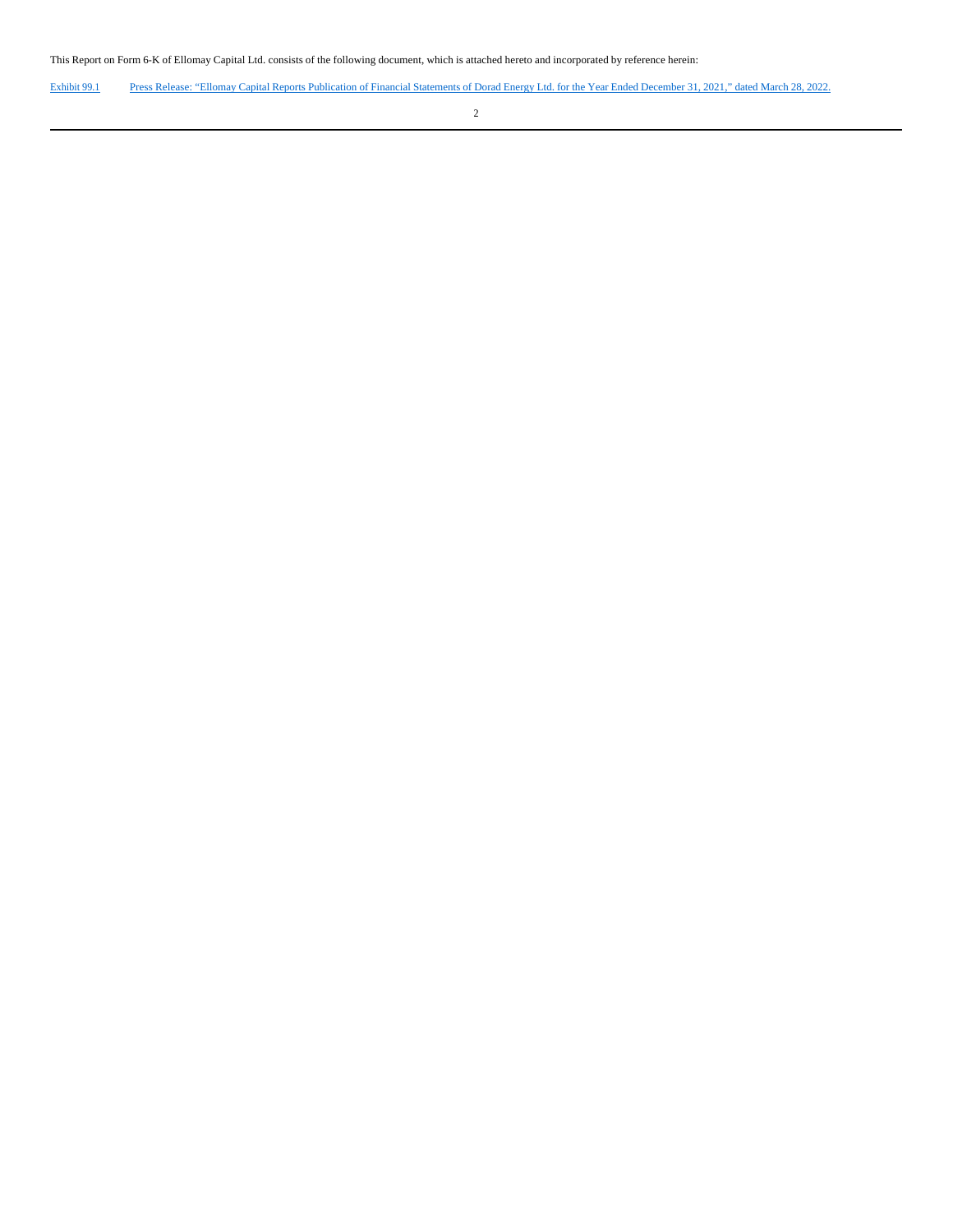This Report on Form 6-K of Ellomay Capital Ltd. consists of the following document, which is attached hereto and incorporated by reference herein:

Exhibit 99.1 Press Release: "Ellomay Capital Reports Publication of Financial Statements of Dorad Energy Ltd. for the Year Ended December 31, 2021," dated March 28, 2022.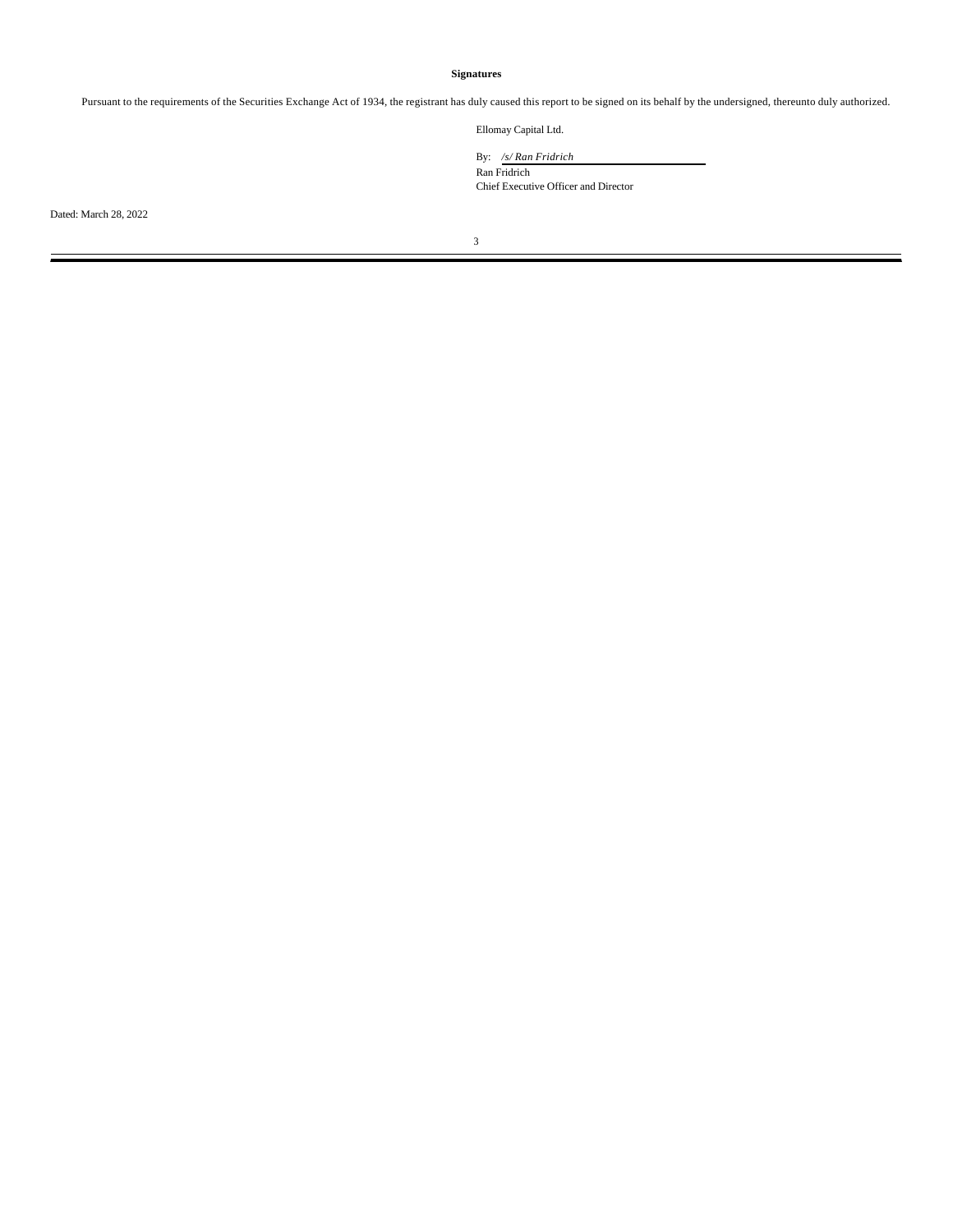### **Signatures**

Pursuant to the requirements of the Securities Exchange Act of 1934, the registrant has duly caused this report to be signed on its behalf by the undersigned, thereunto duly authorized.

Ellomay Capital Ltd.

By: */s/ Ran Fridrich*

Ran Fridrich Chief Executive Officer and Director

Dated: March 28, 2022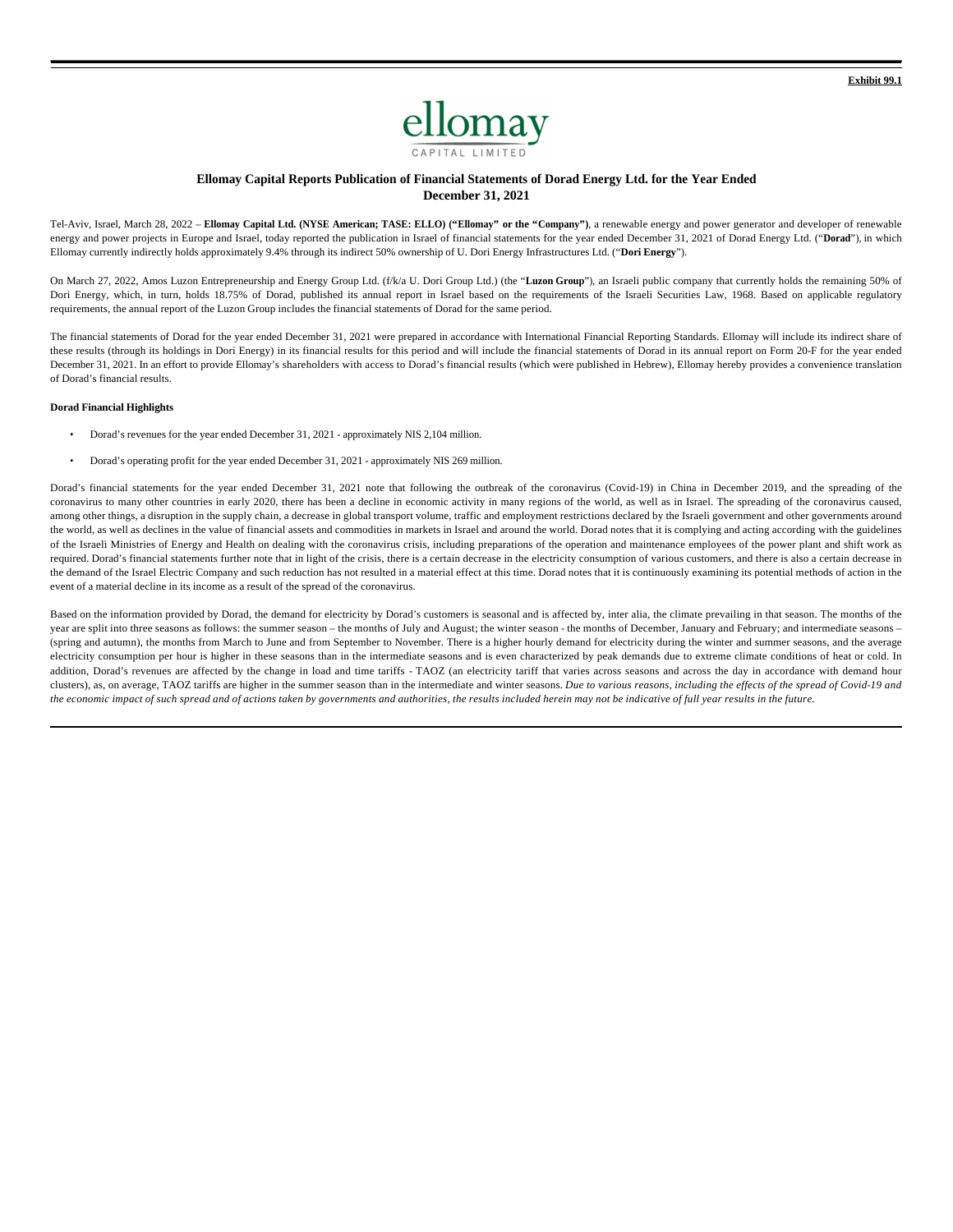

### **Ellomay Capital Reports Publication of Financial Statements of Dorad Energy Ltd. for the Year Ended December 31, 2021**

Tel-Aviv, Israel, March 28, 2022 – **Ellomay Capital Ltd. (NYSE American; TASE: ELLO) ("Ellomay" or the "Company")**, a renewable energy and power generator and developer of renewable energy and power projects in Europe and Israel, today reported the publication in Israel of financial statements for the year ended December 31, 2021 of Dorad Energy Ltd. ("Dorad"), in which Ellomay currently indirectly holds approximately 9.4% through its indirect 50% ownership of U. Dori Energy Infrastructures Ltd. ("**Dori Energy**").

On March 27, 2022, Amos Luzon Entrepreneurship and Energy Group Ltd. (f/k/a U. Dori Group Ltd.) (the "**Luzon Group**"), an Israeli public company that currently holds the remaining 50% of Dori Energy, which, in turn, holds 18.75% of Dorad, published its annual report in Israel based on the requirements of the Israeli Securities Law, 1968. Based on applicable regulatory requirements, the annual report of the Luzon Group includes the financial statements of Dorad for the same period.

The financial statements of Dorad for the year ended December 31, 2021 were prepared in accordance with International Financial Reporting Standards. Ellomay will include its indirect share of these results (through its holdings in Dori Energy) in its financial results for this period and will include the financial statements of Dorad in its annual report on Form 20-F for the year ended December 31, 2021. In an effort to provide Ellomay's shareholders with access to Dorad's financial results (which were published in Hebrew), Ellomay hereby provides a convenience translation of Dorad's financial results.

#### **Dorad Financial Highlights**

- Dorad's revenues for the year ended December 31, 2021 approximately NIS 2,104 million.
- Dorad's operating profit for the year ended December 31, 2021 approximately NIS 269 million.

Dorad's financial statements for the year ended December 31, 2021 note that following the outbreak of the coronavirus (Covid-19) in China in December 2019, and the spreading of the coronavirus to many other countries in early 2020, there has been a decline in economic activity in many regions of the world, as well as in Israel. The spreading of the coronavirus caused, among other things, a disruption in the supply chain, a decrease in global transport volume, traffic and employment restrictions declared by the Israeli government and other governments around the world, as well as declines in the value of financial assets and commodities in markets in Israel and around the world. Dorad notes that it is complying and acting according with the guidelines of the Israeli Ministries of Energy and Health on dealing with the coronavirus crisis, including preparations of the operation and maintenance employees of the power plant and shift work as required. Dorad's financial statements further note that in light of the crisis, there is a certain decrease in the electricity consumption of various customers, and there is also a certain decrease in the demand of the Israel Electric Company and such reduction has not resulted in a material effect at this time. Dorad notes that it is continuously examining its potential methods of action in the event of a material decline in its income as a result of the spread of the coronavirus.

Based on the information provided by Dorad, the demand for electricity by Dorad's customers is seasonal and is affected by, inter alia, the climate prevailing in that season. The months of the year are split into three seasons as follows: the summer season – the months of July and August; the winter season - the months of December, January and February; and intermediate seasons – (spring and autumn), the months from March to June and from September to November. There is a higher hourly demand for electricity during the winter and summer seasons, and the average electricity consumption per hour is higher in these seasons than in the intermediate seasons and is even characterized by peak demands due to extreme climate conditions of heat or cold. In addition, Dorad's revenues are affected by the change in load and time tariffs - TAOZ (an electricity tariff that varies across seasons and across the day in accordance with demand hour clusters), as, on average, TAOZ tariffs are higher in the summer season than in the intermediate and winter seasons. *Due to various reasons, including the effects of the spread of Covid-19 and the economic impact of such spread and of actions taken by governments and authorities, the results included herein may not be indicative of full year results in the future.*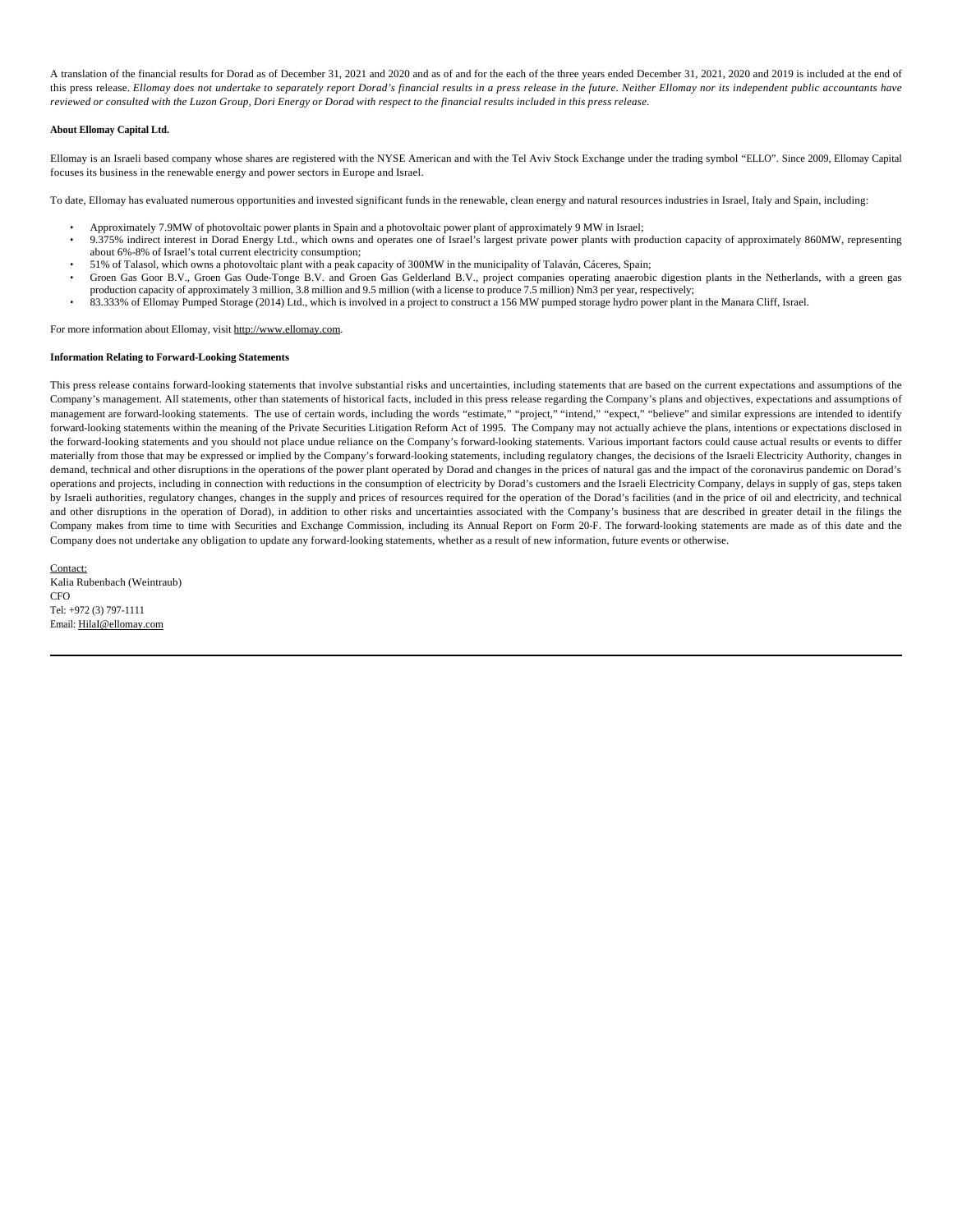A translation of the financial results for Dorad as of December 31, 2021 and 2020 and as of and for the each of the three years ended December 31, 2021, 2020 and 2019 is included at the end of this press release. *Ellomay does not undertake to separately report Dorad's financial results in a press release in the future. Neither Ellomay nor its independent public accountants have reviewed or consulted with the Luzon Group, Dori Energy or Dorad with respect to the financial results included in this press release.*

#### **About Ellomay Capital Ltd.**

Ellomay is an Israeli based company whose shares are registered with the NYSE American and with the Tel Aviv Stock Exchange under the trading symbol "ELLO". Since 2009, Ellomay Capital focuses its business in the renewable energy and power sectors in Europe and Israel.

To date, Ellomay has evaluated numerous opportunities and invested significant funds in the renewable, clean energy and natural resources industries in Israel, Italy and Spain, including:

- Approximately 7.9MW of photovoltaic power plants in Spain and a photovoltaic power plant of approximately 9 MW in Israel;
- 9.375% indirect interest in Dorad Energy Ltd., which owns and operates one of Israel's largest private power plants with production capacity of approximately 860MW, representing about 6%-8% of Israel's total current electricity consumption;
- 51% of Talasol, which owns a photovoltaic plant with a peak capacity of 300MW in the municipality of Talaván, Cáceres, Spain;
- Groen Gas Goor B.V., Groen Gas Oude-Tonge B.V. and Groen Gas Gelderland B.V., project companies operating anaerobic digestion plants in the Netherlands, with a green gas production capacity of approximately 3 million, 3.8 million and 9.5 million (with a license to produce 7.5 million) Nm3 per year, respectively;
- 83.333% of Ellomay Pumped Storage (2014) Ltd., which is involved in a project to construct a 156 MW pumped storage hydro power plant in the Manara Cliff, Israel.

For more information about Ellomay, visit http://www.ellomay.com.

### **Information Relating to Forward-Looking Statements**

This press release contains forward-looking statements that involve substantial risks and uncertainties, including statements that are based on the current expectations and assumptions of the Company's management. All statements, other than statements of historical facts, included in this press release regarding the Company's plans and objectives, expectations and assumptions of management are forward-looking statements. The use of certain words, including the words "estimate," "project," "intend," "expect," "believe" and similar expressions are intended to identify forward-looking statements within the meaning of the Private Securities Litigation Reform Act of 1995. The Company may not actually achieve the plans, intentions or expectations disclosed in the forward-looking statements and you should not place undue reliance on the Company's forward-looking statements. Various important factors could cause actual results or events to differ materially from those that may be expressed or implied by the Company's forward-looking statements, including regulatory changes, the decisions of the Israeli Electricity Authority, changes in demand, technical and other disruptions in the operations of the power plant operated by Dorad and changes in the prices of natural gas and the impact of the coronavirus pandemic on Dorad's operations and projects, including in connection with reductions in the consumption of electricity by Dorad's customers and the Israeli Electricity Company, delays in supply of gas, steps taken by Israeli authorities, regulatory changes, changes in the supply and prices of resources required for the operation of the Dorad's facilities (and in the price of oil and electricity, and technical and other disruptions in the operation of Dorad), in addition to other risks and uncertainties associated with the Company's business that are described in greater detail in the filings the Company makes from time to time with Securities and Exchange Commission, including its Annual Report on Form 20-F. The forward-looking statements are made as of this date and the Company does not undertake any obligation to update any forward-looking statements, whether as a result of new information, future events or otherwise.

Contact: Kalia Rubenbach (Weintraub) **CFO** Tel: +972 (3) 797-1111 Email: HilaI@ellomay.com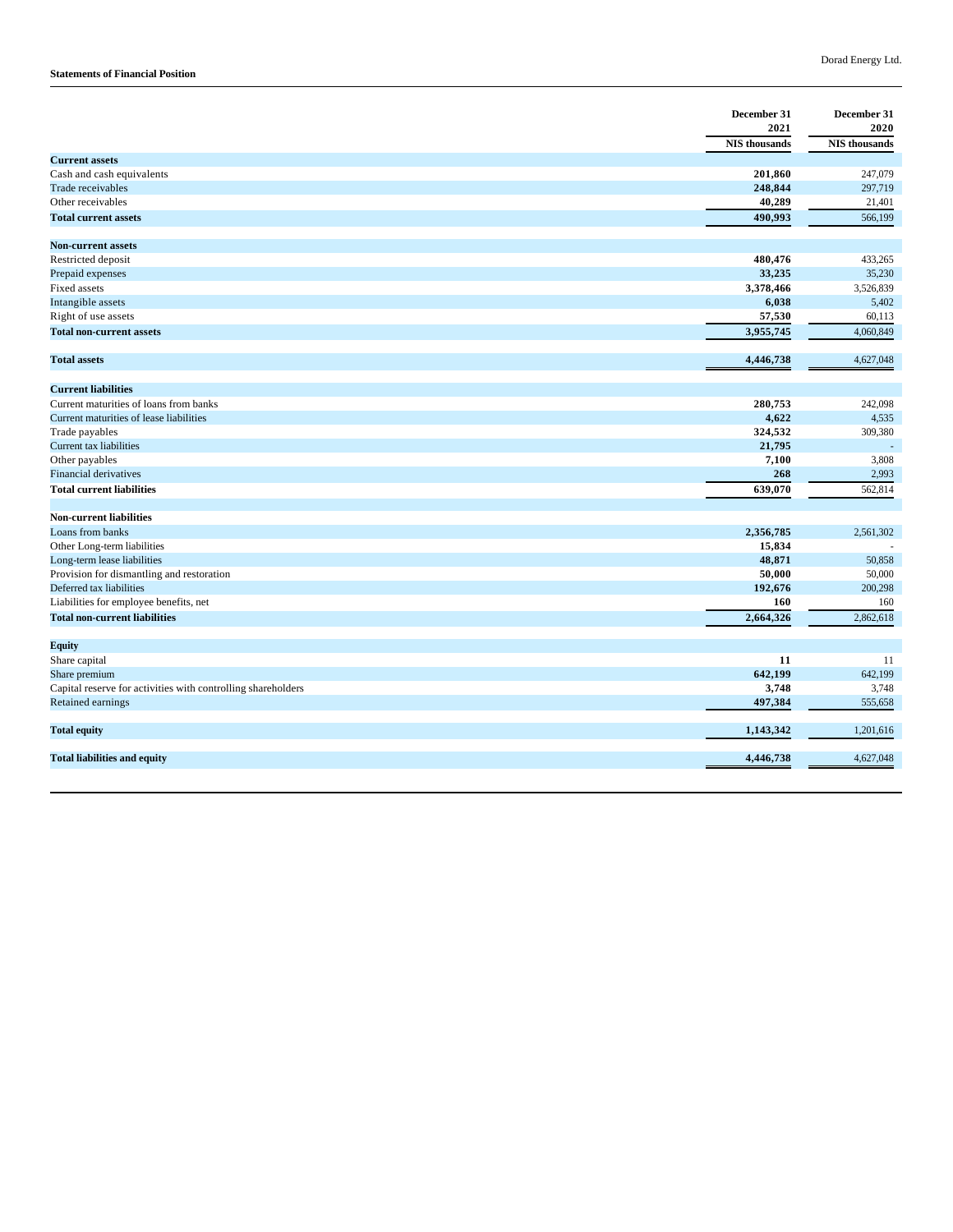### **Statements of Financial Position**

|                                                              | December 31<br>2021  | December 31<br>2020  |
|--------------------------------------------------------------|----------------------|----------------------|
|                                                              | <b>NIS</b> thousands | <b>NIS</b> thousands |
| <b>Current assets</b>                                        |                      |                      |
| Cash and cash equivalents                                    | 201,860              | 247,079              |
| <b>Trade receivables</b>                                     | 248,844              | 297,719              |
| Other receivables                                            | 40,289               | 21,401               |
| <b>Total current assets</b>                                  | 490,993              | 566,199              |
| <b>Non-current assets</b>                                    |                      |                      |
|                                                              | 480,476              |                      |
| Restricted deposit                                           | 33,235               | 433,265<br>35,230    |
| Prepaid expenses                                             |                      |                      |
| Fixed assets                                                 | 3,378,466            | 3,526,839            |
| Intangible assets                                            | 6,038                | 5,402                |
| Right of use assets                                          | 57,530               | 60,113               |
| <b>Total non-current assets</b>                              | 3,955,745            | 4,060,849            |
| <b>Total assets</b>                                          | 4,446,738            | 4,627,048            |
| <b>Current liabilities</b>                                   |                      |                      |
| Current maturities of loans from banks                       | 280,753              | 242,098              |
| Current maturities of lease liabilities                      | 4,622                | 4,535                |
| Trade payables                                               | 324,532              | 309,380              |
| Current tax liabilities                                      | 21,795               |                      |
| Other payables                                               | 7,100                | 3,808                |
| <b>Financial derivatives</b>                                 | 268                  | 2,993                |
| <b>Total current liabilities</b>                             | 639,070              | 562,814              |
|                                                              |                      |                      |
| <b>Non-current liabilities</b>                               |                      |                      |
| Loans from banks                                             | 2,356,785            | 2,561,302            |
| Other Long-term liabilities                                  | 15,834               |                      |
| Long-term lease liabilities                                  | 48,871               | 50,858               |
| Provision for dismantling and restoration                    | 50,000               | 50,000               |
| Deferred tax liabilities                                     | 192,676              | 200,298              |
| Liabilities for employee benefits, net                       | 160                  | 160                  |
| <b>Total non-current liabilities</b>                         | 2,664,326            | 2,862,618            |
| <b>Equity</b>                                                |                      |                      |
| Share capital                                                | 11                   | 11                   |
| Share premium                                                | 642,199              | 642,199              |
| Capital reserve for activities with controlling shareholders | 3,748                | 3,748                |
| Retained earnings                                            | 497,384              | 555,658              |
|                                                              |                      |                      |
| <b>Total equity</b>                                          | 1,143,342            | 1,201,616            |
| <b>Total liabilities and equity</b>                          | 4,446,738            | 4,627,048            |
|                                                              |                      |                      |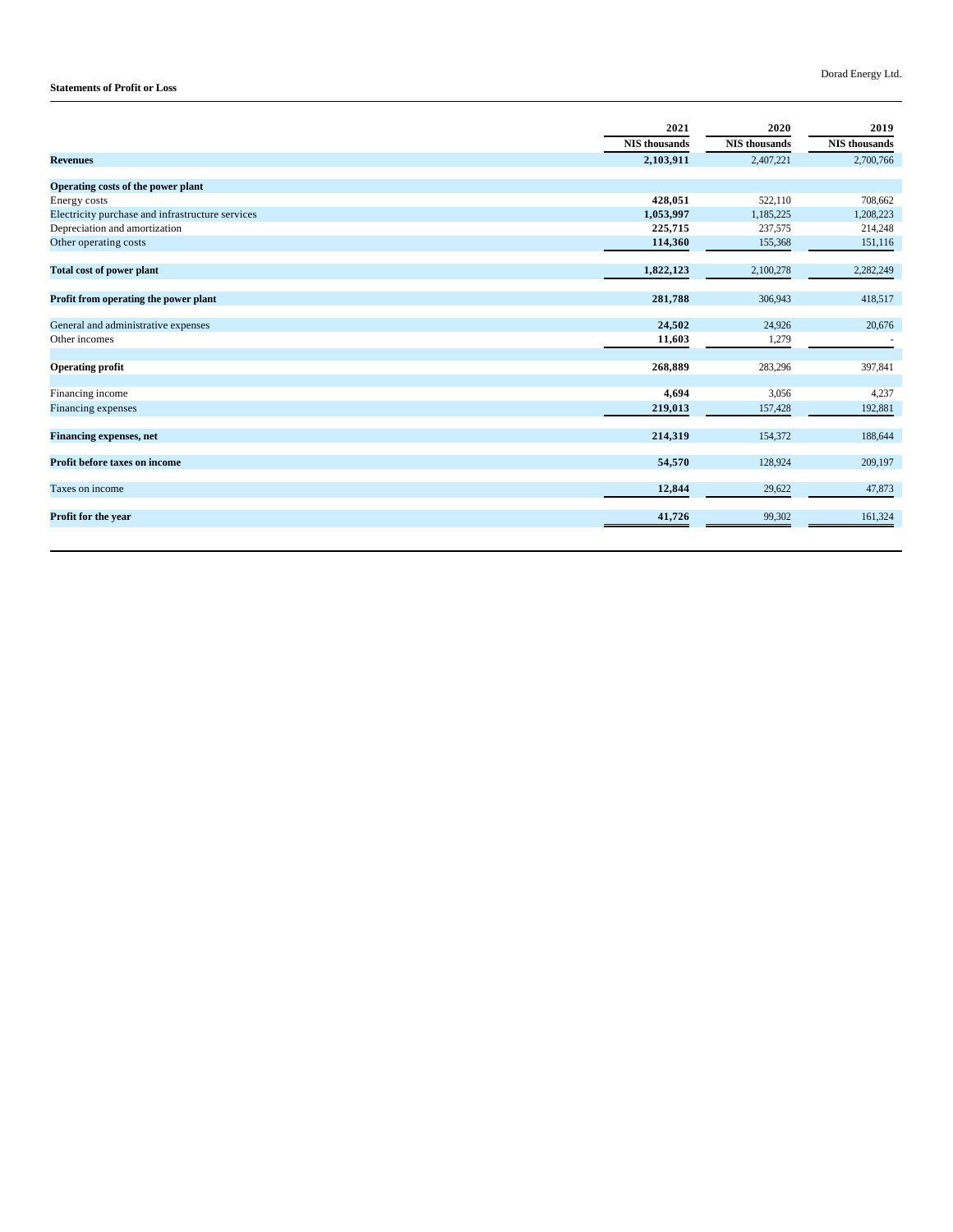### Dorad Energy Ltd.

### **Statements of Profit or Loss**

|                                                  | 2021          | 2020                 | 2019                 |
|--------------------------------------------------|---------------|----------------------|----------------------|
|                                                  | NIS thousands | <b>NIS</b> thousands | <b>NIS</b> thousands |
| <b>Revenues</b>                                  | 2,103,911     | 2,407,221            | 2,700,766            |
|                                                  |               |                      |                      |
| Operating costs of the power plant               |               |                      |                      |
| Energy costs                                     | 428,051       | 522,110              | 708,662              |
| Electricity purchase and infrastructure services | 1,053,997     | 1,185,225            | 1,208,223            |
| Depreciation and amortization                    | 225,715       | 237,575              | 214,248              |
| Other operating costs                            | 114,360       | 155,368              | 151,116              |
| <b>Total cost of power plant</b>                 | 1,822,123     | 2,100,278            | 2,282,249            |
|                                                  |               |                      |                      |
| Profit from operating the power plant            | 281,788       | 306,943              | 418,517              |
| General and administrative expenses              | 24,502        | 24,926               | 20,676               |
| Other incomes                                    | 11,603        | 1,279                |                      |
|                                                  |               |                      |                      |
| <b>Operating profit</b>                          | 268,889       | 283,296              | 397,841              |
| Financing income                                 | 4,694         | 3,056                | 4,237                |
| Financing expenses                               | 219,013       | 157,428              | 192,881              |
|                                                  |               |                      |                      |
| <b>Financing expenses, net</b>                   | 214,319       | 154,372              | 188,644              |
| Profit before taxes on income                    | 54,570        | 128,924              | 209,197              |
| Taxes on income                                  | 12,844        | 29,622               | 47,873               |
| Profit for the year                              | 41,726        | 99,302               | 161,324              |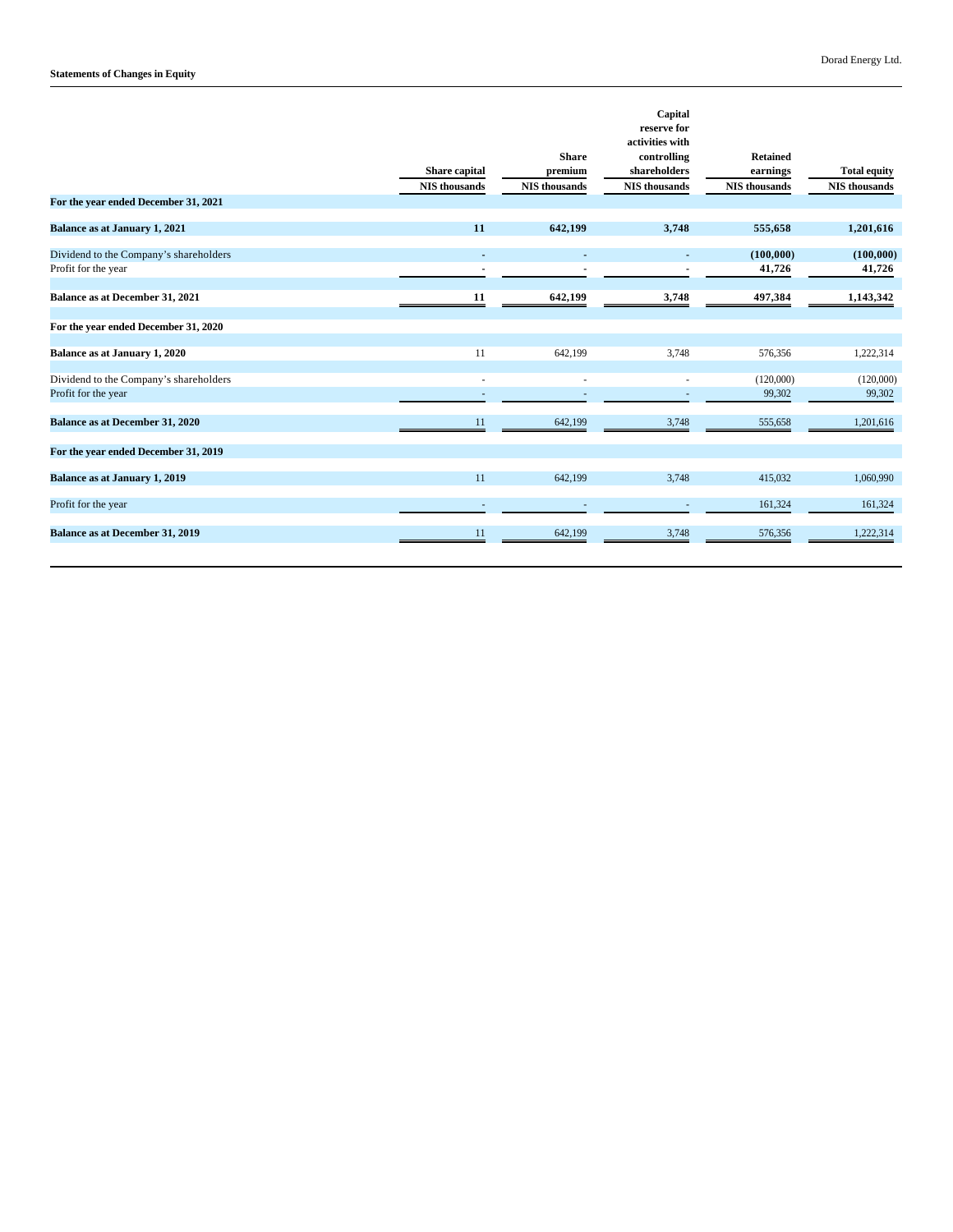| For the year ended December 31, 2021                          | Share capital<br><b>NIS</b> thousands | <b>Share</b><br>premium<br><b>NIS</b> thousands | Capital<br>reserve for<br>activities with<br>controlling<br>shareholders<br><b>NIS</b> thousands | <b>Retained</b><br>$\bold{earnings}$<br>NIS thousands | <b>Total equity</b><br>NIS thousands |
|---------------------------------------------------------------|---------------------------------------|-------------------------------------------------|--------------------------------------------------------------------------------------------------|-------------------------------------------------------|--------------------------------------|
| <b>Balance as at January 1, 2021</b>                          | 11                                    | 642,199                                         | 3,748                                                                                            | 555,658                                               | 1,201,616                            |
| Dividend to the Company's shareholders<br>Profit for the year | $\blacksquare$                        |                                                 |                                                                                                  | (100,000)<br>41,726                                   | (100,000)<br>41,726                  |
| Balance as at December 31, 2021                               | 11                                    | 642,199                                         | 3,748                                                                                            | 497,384                                               | 1,143,342                            |
| For the year ended December 31, 2020                          |                                       |                                                 |                                                                                                  |                                                       |                                      |
| Balance as at January 1, 2020                                 | 11                                    | 642,199                                         | 3.748                                                                                            | 576.356                                               | 1,222,314                            |
| Dividend to the Company's shareholders<br>Profit for the year |                                       |                                                 |                                                                                                  | (120,000)<br>99,302                                   | (120,000)<br>99,302                  |
| <b>Balance as at December 31, 2020</b>                        | 11                                    | 642,199                                         | 3,748                                                                                            | 555,658                                               | 1,201,616                            |
| For the year ended December 31, 2019                          |                                       |                                                 |                                                                                                  |                                                       |                                      |
| <b>Balance as at January 1, 2019</b>                          | 11                                    | 642,199                                         | 3.748                                                                                            | 415,032                                               | 1,060,990                            |
| Profit for the year                                           |                                       |                                                 |                                                                                                  | 161,324                                               | 161,324                              |
| <b>Balance as at December 31, 2019</b>                        | 11                                    | 642,199                                         | 3,748                                                                                            | 576,356                                               | 1,222,314                            |